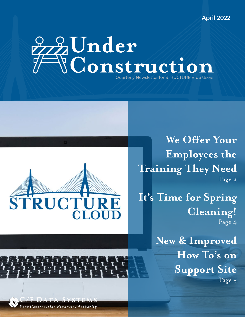# **Under**  Construction Quarterly Newsletter for STRUCTURE Blue Users

 $U$ 

**We Offer Your Employees the [Training They Need](#page-2-0)**  Page 3

**[It's Time for Spring](#page-3-0)  Cleaning!** Page 4

> **[New & Improved](#page-4-0)  How To's on Support Site**  Page 5

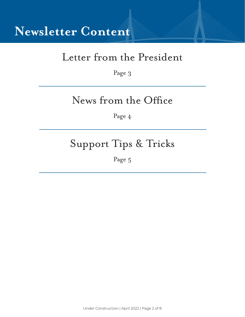## **Newsletter Content**

## [Letter from the President](#page-2-0)

Page 3

## [News from the Office](#page-3-0)

Page 4

## [Support Tips & Tricks](#page-4-0)

Page 5

Under Construction | April 2022 | Page 2 of 8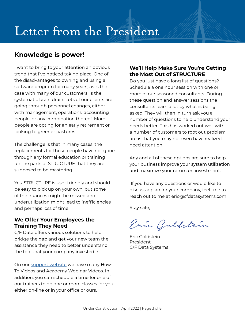## <span id="page-2-0"></span>Letter from the President

### **Knowledge is power!**

I want to bring to your attention an obvious trend that I've noticed taking place. One of the disadvantages to owning and using a software program for many years, as is the case with many of our customers, is the systematic brain drain. Lots of our clients are going through personnel changes, either with management, operations, accounting people, or any combination thereof. More people are opting for an early retirement or looking to greener pastures.

The challenge is that in many cases, the replacements for those people have not gone through any formal education or training for the parts of STRUCTURE that they are supposed to be mastering.

Yes, STRUCTURE is user friendly and should be easy to pick up on your own, but some of the nuances might be missed and underutilization might lead to inefficiencies and perhaps loss of time.

#### **We Offer Your Employees the Training They Need**

C/F Data offers various solutions to help bridge the gap and get your new team the assistance they need to better understand the tool that your company invested in.

On our [support website](https://www.cfdatasupport.com) we have many How-To Videos and Academy Webinar Videos. In addition, you can schedule a time for one of our trainers to do one or more classes for you, either on-line or in your office or ours.

#### **We'll Help Make Sure You're Getting the Most Out of STRUCTURE**

Do you just have a long list of questions? Schedule a one hour session with one or more of our seasoned consultants. During these question and answer sessions the consultants learn a lot by what is being asked. They will then in turn ask you a number of questions to help understand your needs better. This has worked out well with a number of customers to root out problem areas that you may not even have realized need attention.

Any and all of these options are sure to help your business improve your system utilization and maximize your return on investment.

 If you have any questions or would like to discuss a plan for your company, feel free to reach out to me at eric@cfdatasystems.com

Stay safe,

Eric Goldstein

Eric Goldstein President C/F Data Systems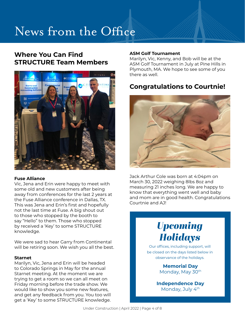# <span id="page-3-0"></span>News from the Office

#### **Where You Can Find STRUCTURE Team Members**



#### **Fuse Alliance**

Vic, Jena and Erin were happy to meet with some old and new customers after being away from conferences for the last 2 years at the Fuse Alliance conference in Dallas, TX. This was Jena and Erin's first and hopefully not the last time at Fuse. A big shout out to those who stopped by the booth to say "Hello" to them. Those who stopped by received a 'Key' to some STRUCTURE knowledge.

We were sad to hear Garry from Continental will be retiring soon. We wish you all the best.

#### **Starnet**

Marilyn, Vic, Jena and Erin will be headed to Colorado Springs in May for the annual Starnet meeting. At the moment we are trying to get a room so we can all meet on Friday morning before the trade show. We would like to show you some new features, and get any feedback from you. You too will get a 'Key' to some STRUCTURE knowledge.

#### **ASM Golf Tournament**

Marilyn, Vic, Kenny, and Bob will be at the ASM Golf Tournament in July at Pine Hills in Plymouth, MA. We hope to see some of you there as well.

#### **Congratulations to Courtnie!**



Jack Arthur Cole was born at 4:04pm on March 30, 2022 weighing 8lbs 8oz and measuring 21 inches long. We are happy to know that everything went well and baby and mom are in good health. Congratulations Courtnie and AJ!

## *Upcoming Holidays*

Our offices, including support, will be closed on the days listed below in observance of the holidays.

> **Memorial Day** Monday, May 30<sup>th</sup>

**Independence Day** Monday, July 4<sup>th</sup>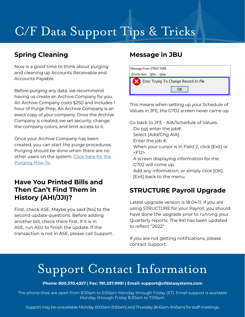# <span id="page-4-0"></span>C/F Data Support Tips & Tricks

### **Spring Cleaning**

Now is a good time to think about purging and cleaning up Accounts Receivable and Accounts Payable.

Before purging any data, we recommend having us create an Archive Company for you. An Archive Company costs \$250 and includes 1 hour of Purge Prep. An Archive Company is an exact copy of your company. Once the Archive Company is created, we set security, change the company colors, and limit access to it.

Once your Archive Company has been created, you can start the purge procedures. Purging should be done when there are no other users on the system. [Click here for the](https://380eea57-856c-4280-a31e-fb6c0f17a355.usrfiles.com/ugd/380eea_01b3520cfa1742838a79c9eb329c6c76.pdf)  [Purging How To.](https://380eea57-856c-4280-a31e-fb6c0f17a355.usrfiles.com/ugd/380eea_01b3520cfa1742838a79c9eb329c6c76.pdf)

### **Have You Printed Bills and Then Can't Find Them in History (AHI/JJI)?**

First, check ASE. Maybe you said [No] to the second update questions. Before adding another bill, check there first. If it is in ASE, run ASU to finish the update. If the transaction is not in ASE, please call Support.

### **Message in JBU**

| Message From STRUCTURE                |
|---------------------------------------|
| PrintScreen Who Help                  |
| Error Trying To Change Record In File |
| OК                                    |

This means when setting up your Schedule of Values in JFE, the G702 screen never came up.

Go back to JFE - AIA/Schedule of Values.

Do not enter the job#.

Select [Add/Chg AIA].

Enter the job #.

When your cursor is in Field 2, click [Exit] or <F12>.

A screen displaying information for the G702 will come up.

Add any information, or simply click [OK]. [Exit] back to the menu.

### **STRUCTURE Payroll Upgrade**

Latest upgrade version is 18.04.11. If you are using STRUCTURE for your Payroll, you should have done the upgrade prior to running your Quarterly reports. The 941 has been updated to reflect "2022"

If you are not getting notifications, please contact Support.

# Support Contact Information

#### **Phone: 800.370.4357 | Fax: 781.337.9991 | Email: support@cfdatasystems.com**

The phone lines are open from 8:30am to 5:00pm Monday through Friday (ET). Email support is available Monday through Friday 8:30am to 7:00pm.

Support may be unavailable Monday (9:00am-9:30am) and Thursday (8:45am-9:45am) for staff meetings.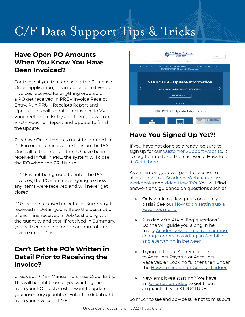# C/F Data Support Tips & Tricks

#### **Have Open PO Amounts When You Know You Have Been Invoiced?**

For those of you that are using the Purchase Order application, it is important that vendor invoices received for anything ordered on a PO get received in PRE – Invoice Receipt Entry. Run PRU – Receipts Report and Update. This will update the invoice to VVE – Voucher/Invoice Entry and then you will run VRU – Voucher Report and Update to finish the update.

Purchase Order Invoices must be entered in PRE in order to receive the lines on the PO. Once all of the lines on the PO have been received in full in PRE, the system will close the PO when the PRU is run.

If PRE is not being used to enter the PO invoices, the PO's are never going to show any items were received and will never get closed.

PO's can be received in Detail or Summary. If received in Detail, you will see the description of each line received in Job Cost along with the quantity and cost. If received in Summary, you will see one line for the amount of the invoice in Job Cost.

#### **Can't Get the PO's Written in Detail Prior to Receiving the Invoice?**

Check out PME – Manual Purchase Order Entry. This will benefit those of you wanting the detail from your PO in Job Cost or want to update your inventory quantities. Enter the detail right from your invoice in PME.



### **Have You Signed Up Yet?!**

If you have not done so already, be sure to sign up for our [Customer Support website](https://www.cfdatasupport.com). It is easy to enroll and there is even a How To for it! [Get it here.](https://380eea57-856c-4280-a31e-fb6c0f17a355.usrfiles.com/ugd/380eea_50cdd9c06ad24978a6aafc4a840ce2c3.pdf)

As a member, you will gain full access to all our [How To's](https://www.cfdatasupport.com/how-tos), [Academy Webinars,](https://www.cfdatasupport.com/summer-academy) class [workbooks](https://www.cfdatasupport.com/class-workbooks) and [video How To's.](https://www.cfdatasupport.com/how-tos) You will find answers and guidance on questions such as:

- ▶ Only work in a few procs on a daily basis? See our [How to on setting up a](https://vimeo.com/675886816)  [Favorites menu.](https://vimeo.com/675886816)
- ▶ Puzzled with AIA billing questions? Donna will guide you along in her many [Academy webinars from adding](https://www.cfdatasupport.com/summer-academy)  [change orders to voiding an AIA billing](https://www.cfdatasupport.com/summer-academy)  [and everything in between.](https://www.cfdatasupport.com/summer-academy)
- ▶ Trying to tie out General ledger to Accounts Payable or Accounts Receivable? [Look no further then under](https://www.cfdatasupport.com/how-tos)  [the How To section for General Ledger.](https://www.cfdatasupport.com/how-tos)
- ▶ New employee starting? [We have](https://www.cfdatasupport.com/orientation)  [an Orientation video to get them](https://www.cfdatasupport.com/orientation)  [acquainted with STRUCTURE.](https://www.cfdatasupport.com/orientation)

So much to see and do – be sure not to miss out!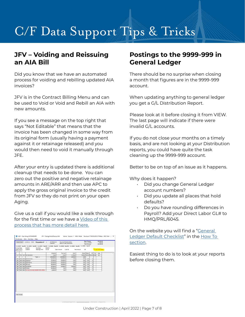# C/F Data Support Tips & Tricks

#### **JFV – Voiding and Reissuing an AIA Bill**

Did you know that we have an automated process for voiding and rebilling updated AIA invoices?

JFV is in the Contract Billing Menu and can be used to Void or Void and Rebill an AIA with new amounts.

If you see a message on the top right that says "Not Editable" that means that the invoice has been changed in some way from its original form (usually having a payment against it or retainage released) and you would then need to void it manually through JFE.

After your entry is updated there is additional cleanup that needs to be done. You can zero out the positive and negative retainage amounts in ARE/ARR and then use APC to apply the gross original invoice to the credit from JFV so they do not print on your open Aging.

Give us a call if you would like a walk through for the first time or we have a [Video of this](https://vimeo.com/422939314/fa81f815e9)  [process that has more detail here.](https://vimeo.com/422939314/fa81f815e9)

| Due Date:<br>03/14/22<br>04/54/22<br><b>FR NOT EDITABLE</b><br>5,167.50<br><b>Daid Amount:</b><br>\$300.00<br>132.50<br>Osan Amount<br>.00<br>Ratsinage Amb<br>Bill Tax<br>Schedule<br>Stored<br>Retain<br>Sales<br>Work<br>Previous<br>Material Percent Percent Code<br>Phi I<br>Cat Cat Description<br>In Place<br>GL#<br>Value<br>Value<br>254,600.00<br>150.000.00<br>\$.000.00<br>Totals -><br>0.00<br>0005 DEMOLITION<br>50.000.00<br>5.00<br>٥<br>0001<br>50.000.00<br>0.00<br>0.00<br>ō.<br>5.00<br>0000 CLEANUP<br>25,000.00<br>20.000.00<br>0.00<br>0.00<br>ooo il<br>5.00<br>ō<br>000S ELECTRICAL<br>\$5,000.00<br>40.000.00<br>0.00<br>000<br>0.00<br>ä<br>0030 DRYWALL<br>5.00<br>55.555.55<br>10.000.00<br>6.06<br>8.55<br>000<br>0025 RCORING<br>$\circ$<br>30,000.00<br>10.000.00<br>5,000.00<br>5.00<br>000<br>0.00<br>0030 FINISH<br>$\sigma$<br>000<br>40.000.00<br>0.00<br>0.00<br>5.00<br>0.00<br>000 0001 CID 001 CHANGE CROER FOR UPGRA<br>$\overline{a}$<br>0.00<br>4,600.00<br>0.00<br>0.00<br>0.00 | Inv-54347 Reg-001 Inv-54351 Reg-002 Inv-04255 Reg-003 Inv-64481 Reg-004 Inv-04482 Reg-005 Inv-04485 Reg-007 Reg-006<br>Invoice Date:<br><b>Sales Amount:</b><br>Retainage Invy<br><b>LNR</b><br>06s |     |  | AIA Job 150011 000 Requisition# 1 | Job Reference:<br>Customer: | Weymouth Woods buildout<br>08246-CF Data Construction |  | <b>Base Coronarts</b><br>Assessed C/O's:<br>Total Contracts |  | 250,000.00<br>4,655.56<br>254,600.00 |
|------------------------------------------------------------------------------------------------------------------------------------------------------------------------------------------------------------------------------------------------------------------------------------------------------------------------------------------------------------------------------------------------------------------------------------------------------------------------------------------------------------------------------------------------------------------------------------------------------------------------------------------------------------------------------------------------------------------------------------------------------------------------------------------------------------------------------------------------------------------------------------------------------------------------------------------------------------------------------------------------------------------------------|-----------------------------------------------------------------------------------------------------------------------------------------------------------------------------------------------------|-----|--|-----------------------------------|-----------------------------|-------------------------------------------------------|--|-------------------------------------------------------------|--|--------------------------------------|
|                                                                                                                                                                                                                                                                                                                                                                                                                                                                                                                                                                                                                                                                                                                                                                                                                                                                                                                                                                                                                              |                                                                                                                                                                                                     |     |  |                                   |                             |                                                       |  |                                                             |  |                                      |
|                                                                                                                                                                                                                                                                                                                                                                                                                                                                                                                                                                                                                                                                                                                                                                                                                                                                                                                                                                                                                              |                                                                                                                                                                                                     |     |  |                                   |                             |                                                       |  |                                                             |  |                                      |
|                                                                                                                                                                                                                                                                                                                                                                                                                                                                                                                                                                                                                                                                                                                                                                                                                                                                                                                                                                                                                              |                                                                                                                                                                                                     |     |  |                                   |                             |                                                       |  |                                                             |  |                                      |
|                                                                                                                                                                                                                                                                                                                                                                                                                                                                                                                                                                                                                                                                                                                                                                                                                                                                                                                                                                                                                              |                                                                                                                                                                                                     |     |  |                                   |                             |                                                       |  |                                                             |  |                                      |
|                                                                                                                                                                                                                                                                                                                                                                                                                                                                                                                                                                                                                                                                                                                                                                                                                                                                                                                                                                                                                              |                                                                                                                                                                                                     |     |  |                                   |                             |                                                       |  |                                                             |  |                                      |
|                                                                                                                                                                                                                                                                                                                                                                                                                                                                                                                                                                                                                                                                                                                                                                                                                                                                                                                                                                                                                              | 664<br>005                                                                                                                                                                                          | 002 |  |                                   |                             |                                                       |  |                                                             |  |                                      |
|                                                                                                                                                                                                                                                                                                                                                                                                                                                                                                                                                                                                                                                                                                                                                                                                                                                                                                                                                                                                                              |                                                                                                                                                                                                     | 003 |  |                                   |                             |                                                       |  |                                                             |  |                                      |
|                                                                                                                                                                                                                                                                                                                                                                                                                                                                                                                                                                                                                                                                                                                                                                                                                                                                                                                                                                                                                              |                                                                                                                                                                                                     |     |  |                                   |                             |                                                       |  |                                                             |  |                                      |
|                                                                                                                                                                                                                                                                                                                                                                                                                                                                                                                                                                                                                                                                                                                                                                                                                                                                                                                                                                                                                              |                                                                                                                                                                                                     |     |  |                                   |                             |                                                       |  |                                                             |  |                                      |
|                                                                                                                                                                                                                                                                                                                                                                                                                                                                                                                                                                                                                                                                                                                                                                                                                                                                                                                                                                                                                              |                                                                                                                                                                                                     | 006 |  |                                   |                             |                                                       |  |                                                             |  |                                      |
|                                                                                                                                                                                                                                                                                                                                                                                                                                                                                                                                                                                                                                                                                                                                                                                                                                                                                                                                                                                                                              |                                                                                                                                                                                                     | 667 |  |                                   |                             |                                                       |  |                                                             |  |                                      |
|                                                                                                                                                                                                                                                                                                                                                                                                                                                                                                                                                                                                                                                                                                                                                                                                                                                                                                                                                                                                                              |                                                                                                                                                                                                     |     |  |                                   |                             |                                                       |  |                                                             |  |                                      |

#### **Postings to the 9999-999 in General Ledger**

There should be no surprise when closing a month that figures are in the 9999-999 account.

When updating anything to general ledger you get a G/L Distribution Report.

Please look at it before closing it from VIEW. The last page will indicate if there were invalid G/L accounts.

If you do not close your months on a timely basis, and are not looking at your Distribution reports, you could have quite the task cleaning up the 9999-999 account.

Better to be on top of an issue as it happens.

Why does it happen?

- Did you change General Ledger account numbers?
- Did you update all places that hold defaults?
- Do you have rounding differences in Payroll? Add your Direct Labor GL# to HMQ/PRL/6045.

On the website you will find a "General [Ledger Default Checklist](https://380eea57-856c-4280-a31e-fb6c0f17a355.usrfiles.com/ugd/380eea_674367fa6a5d48e88d9cca3c03416549.pdf)" in the [How To](https://www.cfdatasupport.com/how-tos)  [section](https://www.cfdatasupport.com/how-tos).

Easiest thing to do is to look at your reports before closing them.